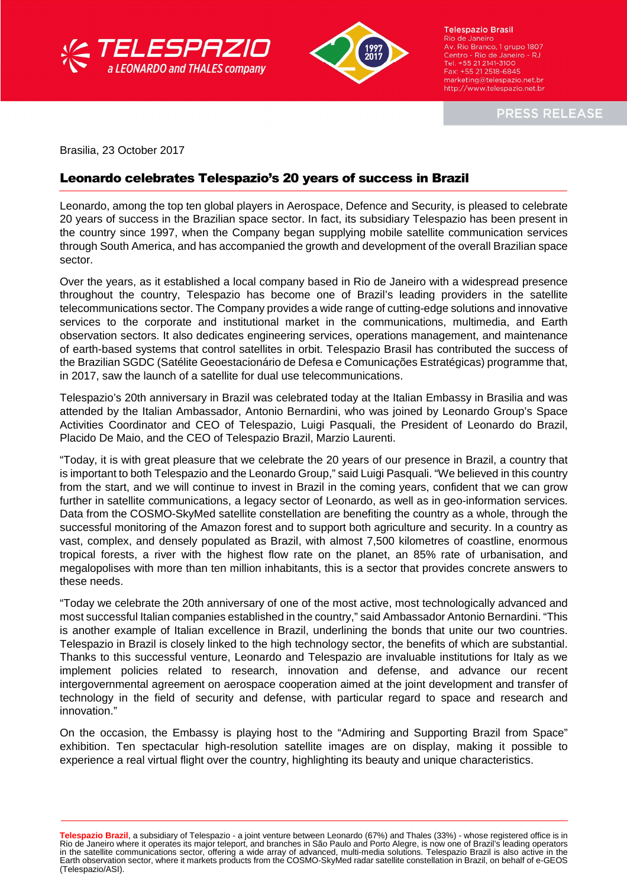



**Telespazio Brasil** Rio de Janeiro Av. Rio Branco, 1 grupo 1807 Av. Rio Branco, i grupo 1807<br>Centro - Rio de Janeiro - RJ<br>Tel: +55 21 2141-3100 Fax: +55 21 2518-6845 marketing@telespazio.net.br http://www.telespazio.net.br

**PRESS RELEASE** 

Brasilia, 23 October 2017

l

## Leonardo celebrates Telespazio's 20 years of success in Brazil

Leonardo, among the top ten global players in Aerospace, Defence and Security, is pleased to celebrate 20 years of success in the Brazilian space sector. In fact, its subsidiary Telespazio has been present in the country since 1997, when the Company began supplying mobile satellite communication services through South America, and has accompanied the growth and development of the overall Brazilian space sector.

Over the years, as it established a local company based in Rio de Janeiro with a widespread presence throughout the country, Telespazio has become one of Brazil's leading providers in the satellite telecommunications sector. The Company provides a wide range of cutting-edge solutions and innovative services to the corporate and institutional market in the communications, multimedia, and Earth observation sectors. It also dedicates engineering services, operations management, and maintenance of earth-based systems that control satellites in orbit. Telespazio Brasil has contributed the success of the Brazilian SGDC (Satélite Geoestacionário de Defesa e Comunicações Estratégicas) programme that, in 2017, saw the launch of a satellite for dual use telecommunications.

Telespazio's 20th anniversary in Brazil was celebrated today at the Italian Embassy in Brasilia and was attended by the Italian Ambassador, Antonio Bernardini, who was joined by Leonardo Group's Space Activities Coordinator and CEO of Telespazio, Luigi Pasquali, the President of Leonardo do Brazil, Placido De Maio, and the CEO of Telespazio Brazil, Marzio Laurenti.

"Today, it is with great pleasure that we celebrate the 20 years of our presence in Brazil, a country that is important to both Telespazio and the Leonardo Group," said Luigi Pasquali. "We believed in this country from the start, and we will continue to invest in Brazil in the coming years, confident that we can grow further in satellite communications, a legacy sector of Leonardo, as well as in geo-information services. Data from the COSMO-SkyMed satellite constellation are benefiting the country as a whole, through the successful monitoring of the Amazon forest and to support both agriculture and security. In a country as vast, complex, and densely populated as Brazil, with almost 7,500 kilometres of coastline, enormous tropical forests, a river with the highest flow rate on the planet, an 85% rate of urbanisation, and megalopolises with more than ten million inhabitants, this is a sector that provides concrete answers to these needs.

"Today we celebrate the 20th anniversary of one of the most active, most technologically advanced and most successful Italian companies established in the country," said Ambassador Antonio Bernardini. "This is another example of Italian excellence in Brazil, underlining the bonds that unite our two countries. Telespazio in Brazil is closely linked to the high technology sector, the benefits of which are substantial. Thanks to this successful venture, Leonardo and Telespazio are invaluable institutions for Italy as we implement policies related to research, innovation and defense, and advance our recent intergovernmental agreement on aerospace cooperation aimed at the joint development and transfer of technology in the field of security and defense, with particular regard to space and research and innovation."

On the occasion, the Embassy is playing host to the "Admiring and Supporting Brazil from Space" exhibition. Ten spectacular high-resolution satellite images are on display, making it possible to experience a real virtual flight over the country, highlighting its beauty and unique characteristics.

**Telespazio Brazil**, a subsidiary of Telespazio - a joint venture between Leonardo (67%) and Thales (33%) - whose registered office is in Rio de Janeiro where it operates its major teleport, and branches in São Paulo and Porto Alegre, is now one of Brazil's leading operators<br>in the satellite communications sector, offering a wide array of advanced, multi-med Earth observation sector, where it markets products from the COSMO-SkyMed radar satellite constellation in Brazil, on behalf of e-GEOS (Telespazio/ASI).